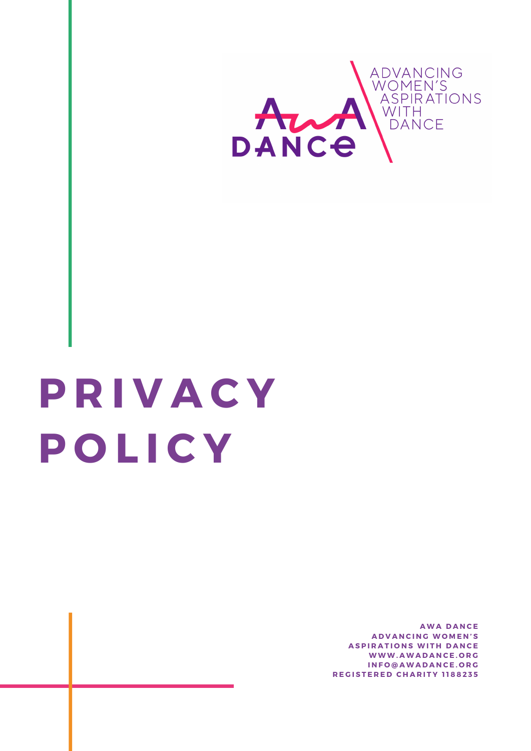

# **P R I V A C Y P O L I C Y**

**A W A D A N C E A D V A N C I N G W O M E N ' S ASPIRATIONS WITH DANCE W W W . A W A D A N C E . O R G I N F O @ A W A D A N C E . O R G R E G I S T E R E D C H A R I T Y 1 1 8 8 2 3 5**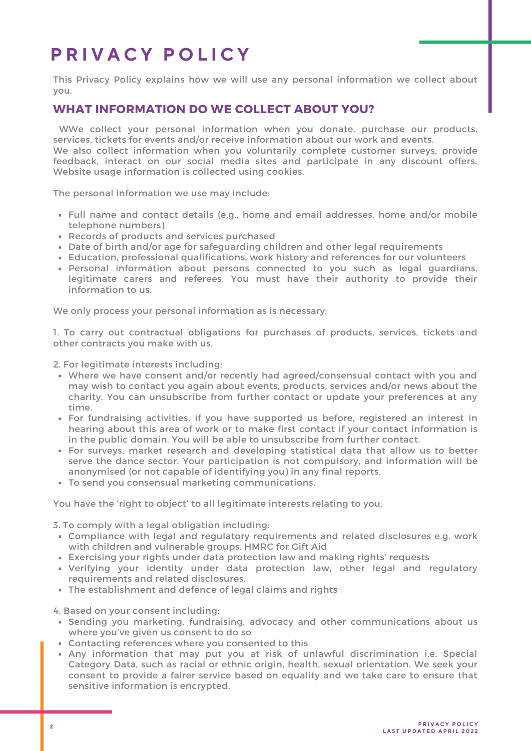# **P R I V A C Y P O L I C Y**

This Privacy Policy explains how we will use any personal information we collect about you.

#### **WHAT INFORMATION DO WE COLLECT ABOUT YOU?**

WWe collect your personal information when you donate, purchase our products, services, tickets for events and/or receive information about our work and events. We also collect information when you voluntarily complete customer surveys, provide feedback, interact on our social media sites and participate in any discount offers. Website usage information is collected using cookies.

The personal information we use may include:

- Full name and contact details (e.g., home and email addresses, home and/or mobile telephone numbers)
- Records of products and services purchased
- Date of birth and/or age for safeguarding children and other legal requirements
- Education, professional qualifications, work history and references for our volunteers
- Personal information about persons connected to you such as legal guardians, legitimate carers and referees. You must have their authority to provide their information to us.

We only process your personal information as is necessary:

1. To carry out contractual obligations for purchases of products, services, tickets and other contracts you make with us.

2. For legitimate interests including:

- Where we have consent and/or recently had agreed/consensual contact with you and may wish to contact you again about events, products, services and/or news about the charity. You can unsubscribe from further contact or update your preferences at any time.
- For fundraising activities, if you have supported us before, registered an interest in hearing about this area of work or to make first contact if your contact information is in the public domain. You will be able to unsubscribe from further contact.
- For surveys, market research and developing statistical data that allow us to better serve the dance sector. Your participation is not compulsory, and information will be anonymised (or not capable of identifying you) in any final reports.
- To send you consensual marketing communications.

You have the 'right to object' to all legitimate interests relating to you.

3. To comply with a legal obligation including:

- Compliance with legal and regulatory requirements and related disclosures e.g. work with children and vulnerable groups, HMRC for Gift Aid
- Exercising your rights under data protection law and making rights' requests
- Verifying your identity under data protection law, other legal and regulatory requirements and related disclosures.
- The establishment and defence of legal claims and rights

4. Based on your consent including:

- Sending you marketing, fundraising, advocacy and other communications about us where you've given us consent to do so
- Contacting references where you consented to this
- Any information that may put you at risk of unlawful discrimination i.e. Special Category Data, such as racial or ethnic origin, health, sexual orientation. We seek your consent to provide a fairer service based on equality and we take care to ensure that sensitive information is encrypted.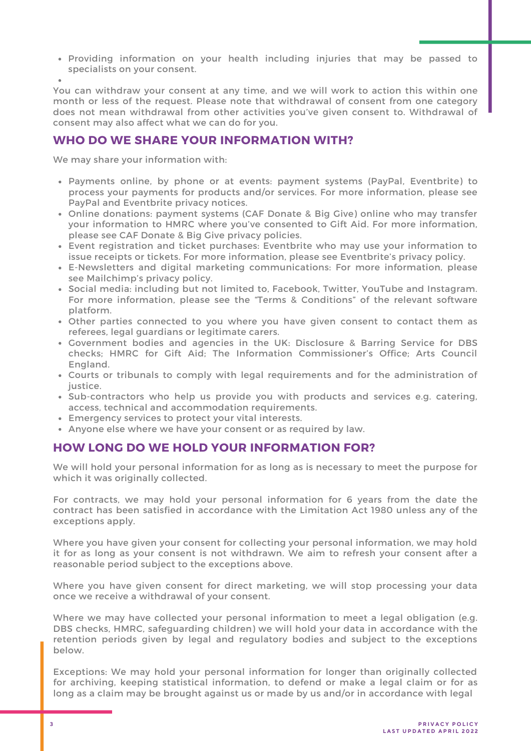Providing information on your health including injuries that may be passed to specialists on your consent.

You can withdraw your consent at any time, and we will work to action this within one month or less of the request. Please note that withdrawal of consent from one category does not mean withdrawal from other activities you've given consent to. Withdrawal of consent may also affect what we can do for you.

## **WHO DO WE SHARE YOUR INFORMATION WITH?**

We may share your information with:

- Payments online, by phone or at events: payment systems (PayPal, Eventbrite) to process your payments for products and/or services. For more information, please see PayPal and Eventbrite privacy notices.
- Online donations: payment systems (CAF Donate & Big Give) online who may transfer your information to HMRC where you've consented to Gift Aid. For more information, please see CAF Donate & Big Give privacy policies.
- Event registration and ticket purchases: Eventbrite who may use your information to issue receipts or tickets. For more information, please see Eventbrite's privacy policy.
- E-Newsletters and digital marketing communications: For more information, please see Mailchimp's privacy policy.
- Social media: including but not limited to, Facebook, Twitter, YouTube and Instagram. For more information, please see the "Terms & Conditions" of the relevant software platform.
- Other parties connected to you where you have given consent to contact them as referees, legal guardians or legitimate carers.
- Government bodies and agencies in the UK: Disclosure & Barring Service for DBS checks; HMRC for Gift Aid; The Information Commissioner's Office; Arts Council England.
- Courts or tribunals to comply with legal requirements and for the administration of justice.
- Sub-contractors who help us provide you with products and services e.g. catering, access, technical and accommodation requirements.
- Emergency services to protect your vital interests.
- Anyone else where we have your consent or as required by law.

#### **HOW LONG DO WE HOLD YOUR INFORMATION FOR?**

We will hold your personal information for as long as is necessary to meet the purpose for which it was originally collected.

For contracts, we may hold your personal information for 6 years from the date the contract has been satisfied in accordance with the Limitation Act 1980 unless any of the exceptions apply.

Where you have given your consent for collecting your personal information, we may hold it for as long as your consent is not withdrawn. We aim to refresh your consent after a reasonable period subject to the exceptions above.

Where you have given consent for direct marketing, we will stop processing your data once we receive a withdrawal of your consent.

Where we may have collected your personal information to meet a legal obligation (e.g. DBS checks, HMRC, safeguarding children) we will hold your data in accordance with the retention periods given by legal and regulatory bodies and subject to the exceptions below.

Exceptions: We may hold your personal information for longer than originally collected for archiving, keeping statistical information, to defend or make a legal claim or for as long as a claim may be brought against us or made by us and/or in accordance with legal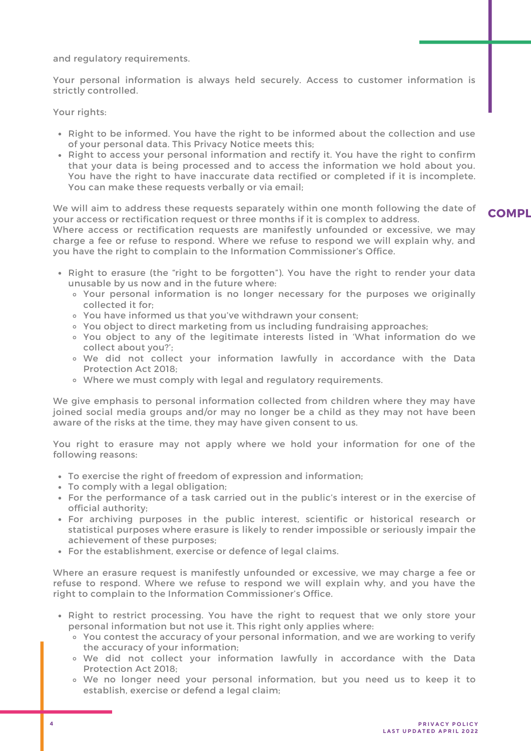and regulatory requirements.

Your personal information is always held securely. Access to customer information is strictly controlled.

Your rights:

- Right to be informed. You have the right to be informed about the collection and use of your personal data. This Privacy Notice meets this;
- Right to access your personal information and rectify it. You have the right to confirm that your data is being processed and to access the information we hold about you. You have the right to have inaccurate data rectified or completed if it is incomplete. You can make these requests verbally or via email;

We will aim to address these requests separately within one month following the date of your access or rectification request or three months if it is complex to address. **COMPL**

Where access or rectification requests are manifestly unfounded or excessive, we may charge a fee or refuse to respond. Where we refuse to respond we will explain why, and you have the right to complain to the Information Commissioner's Office.

- Right to erasure (the "right to be forgotten"). You have the right to render your data unusable by us now and in the future where:
	- Your personal information is no longer necessary for the purposes we originally collected it for;
	- You have informed us that you've withdrawn your consent;
	- You object to direct marketing from us including fundraising approaches;
	- You object to any of the legitimate interests listed in 'What information do we collect about you?' ;
	- We did not collect your information lawfully in accordance with the Data Protection Act 2018;
	- Where we must comply with legal and regulatory requirements.

We give emphasis to personal information collected from children where they may have joined social media groups and/or may no longer be a child as they may not have been aware of the risks at the time, they may have given consent to us.

You right to erasure may not apply where we hold your information for one of the following reasons:

- To exercise the right of freedom of expression and information;
- To comply with a legal obligation;
- For the performance of a task carried out in the public's interest or in the exercise of official authority;
- For archiving purposes in the public interest, scientific or historical research or statistical purposes where erasure is likely to render impossible or seriously impair the achievement of these purposes;
- For the establishment, exercise or defence of legal claims.

Where an erasure request is manifestly unfounded or excessive, we may charge a fee or refuse to respond. Where we refuse to respond we will explain why, and you have the right to complain to the Information Commissioner's Office.

- Right to restrict processing. You have the right to request that we only store your personal information but not use it. This right only applies where:
	- You contest the accuracy of your personal information, and we are working to verify the accuracy of your information;
	- We did not collect your information lawfully in accordance with the Data Protection Act 2018;
	- We no longer need your personal information, but you need us to keep it to establish, exercise or defend a legal claim;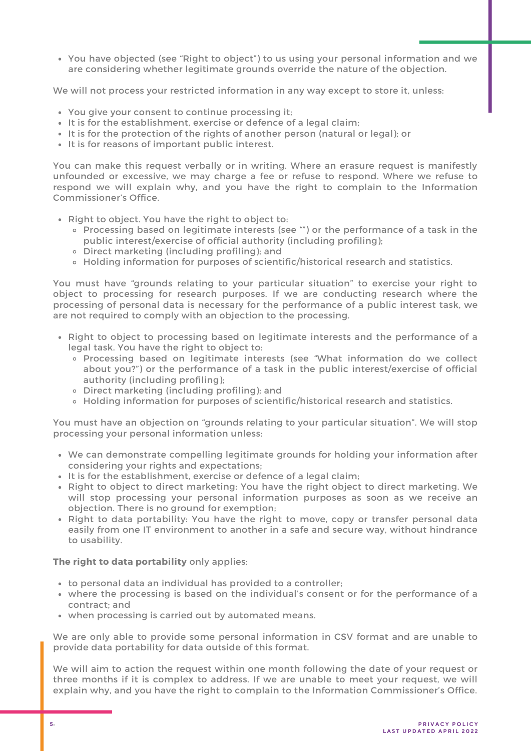You have objected (see "Right to object") to us using your personal information and we are considering whether legitimate grounds override the nature of the objection.

We will not process your restricted information in any way except to store it, unless:

- You give your consent to continue processing it;
- It is for the establishment, exercise or defence of a legal claim;
- It is for the establishment, exercise or defence of a legal claim;<br>It is for the protection of the rights of another person (natural or legal); or
- It is for reasons of important public interest.

You can make this request verbally or in writing. Where an erasure request is manifestly unfounded or excessive, we may charge a fee or refuse to respond. Where we refuse to respond we will explain why, and you have the right to complain to the Information Commissioner's Office.

- Right to object. You have the right to object to:
	- Processing based on legitimate interests (see "") or the performance of a task in the public interest/exercise of official authority (including profiling);
	- Direct marketing (including profiling); and
	- Holding information for purposes of scientific/historical research and statistics.

You must have "grounds relating to your particular situation" to exercise your right to object to processing for research purposes. If we are conducting research where the processing of personal data is necessary for the performance of a public interest task, we are not required to comply with an objection to the processing.

- Right to object to processing based on legitimate interests and the performance of a legal task. You have the right to object to:
	- Processing based on legitimate interests (see "What information do we collect about you?") or the performance of a task in the public interest/exercise of official authority (including profiling);
	- Direct marketing (including profiling); and
	- Holding information for purposes of scientific/historical research and statistics.

You must have an objection on "grounds relating to your particular situation". We will stop processing your personal information unless:

- We can demonstrate compelling legitimate grounds for holding your information after considering your rights and expectations;
- It is for the establishment, exercise or defence of a legal claim;
- It is for the establishment, exercise or defence of a legal claim;<br>Right to object to direct marketing: You have the right object to direct marketing. We will stop processing your personal information purposes as soon as we receive an objection. There is no ground for exemption;
- Right to data portability: You have the right to move, copy or transfer personal data easily from one IT environment to another in a safe and secure way, without hindrance to usability.

#### The right to data portability only applies:

- to personal data an individual has provided to a controller;
- where the processing is based on the individual's consent or for the performance of a contract; and
- when processing is carried out by automated means.

We are only able to provide some personal information in CSV format and are unable to provide data portability for data outside of this format.

We will aim to action the request within one month following the date of your request or three months if it is complex to address. If we are unable to meet your request, we will explain why, and you have the right to complain to the Information Commissioner's Office.